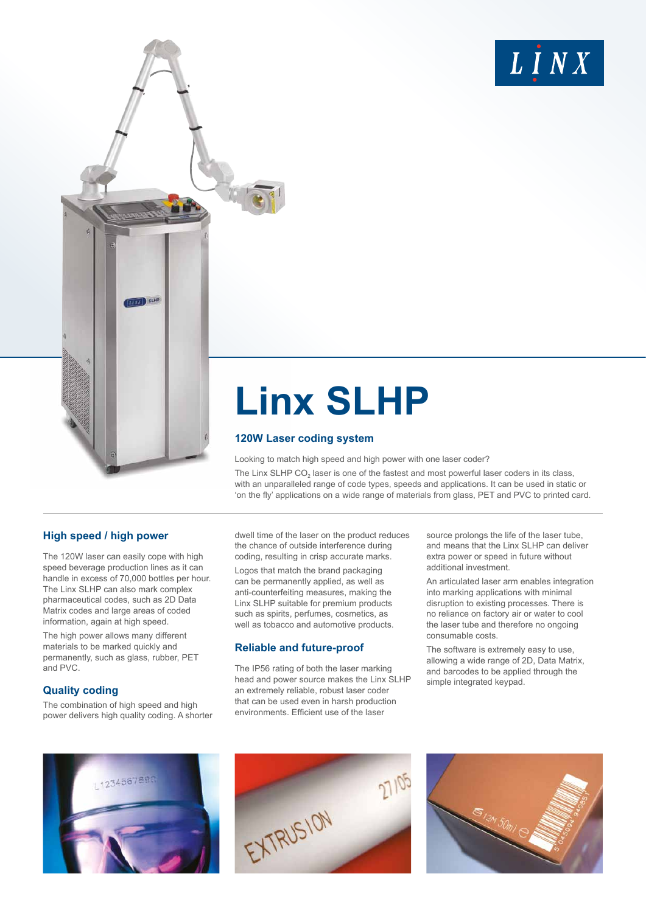

# **Linx SLHP**

#### **120W Laser coding system**

Looking to match high speed and high power with one laser coder?

The Linx SLHP CO<sub>2</sub> laser is one of the fastest and most powerful laser coders in its class, with an unparalleled range of code types, speeds and applications. It can be used in static or 'on the fly' applications on a wide range of materials from glass, PET and PVC to printed card.

# **High speed / high power**

The 120W laser can easily cope with high speed beverage production lines as it can handle in excess of 70,000 bottles per hour. The Linx SLHP can also mark complex pharmaceutical codes, such as 2D Data Matrix codes and large areas of coded information, again at high speed.

**EINA** SLHP

The high power allows many different materials to be marked quickly and permanently, such as glass, rubber, PET and PVC.

## **Quality coding**

The combination of high speed and high power delivers high quality coding. A shorter dwell time of the laser on the product reduces the chance of outside interference during coding, resulting in crisp accurate marks.

Logos that match the brand packaging can be permanently applied, as well as anti-counterfeiting measures, making the Linx SLHP suitable for premium products such as spirits, perfumes, cosmetics, as well as tobacco and automotive products.

## **Reliable and future-proof**

The IP56 rating of both the laser marking head and power source makes the Linx SLHP an extremely reliable, robust laser coder that can be used even in harsh production environments. Efficient use of the laser

source prolongs the life of the laser tube, and means that the Linx SLHP can deliver extra power or speed in future without additional investment.

An articulated laser arm enables integration into marking applications with minimal disruption to existing processes. There is no reliance on factory air or water to cool the laser tube and therefore no ongoing consumable costs.

The software is extremely easy to use, allowing a wide range of 2D, Data Matrix, and barcodes to be applied through the simple integrated keypad.